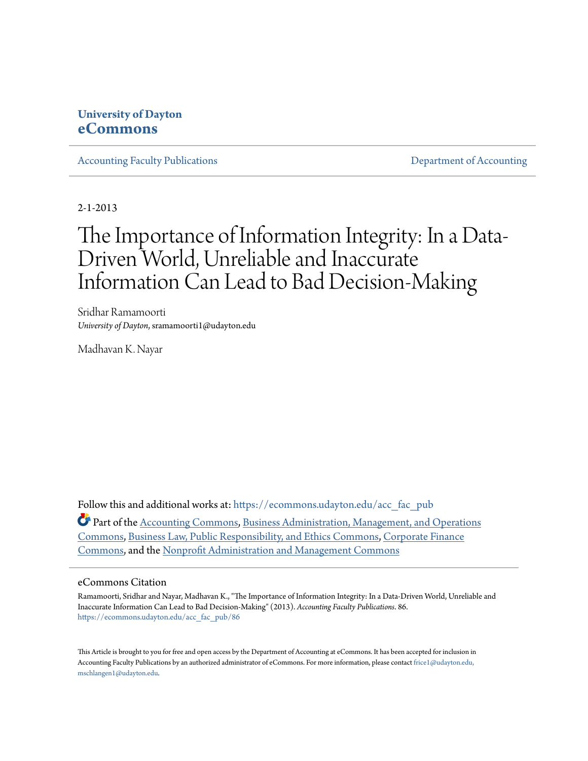### **University of Dayton [eCommons](https://ecommons.udayton.edu?utm_source=ecommons.udayton.edu%2Facc_fac_pub%2F86&utm_medium=PDF&utm_campaign=PDFCoverPages)**

[Accounting Faculty Publications](https://ecommons.udayton.edu/acc_fac_pub?utm_source=ecommons.udayton.edu%2Facc_fac_pub%2F86&utm_medium=PDF&utm_campaign=PDFCoverPages) [Department of Accounting](https://ecommons.udayton.edu/acc?utm_source=ecommons.udayton.edu%2Facc_fac_pub%2F86&utm_medium=PDF&utm_campaign=PDFCoverPages)

2-1-2013

## The Importance of Information Integrity: In a Data-Driven World, Unreliable and Inaccurate Information Can Lead to Bad Decision-Making

Sridhar Ramamoorti *University of Dayton*, sramamoorti1@udayton.edu

Madhavan K. Nayar

Follow this and additional works at: [https://ecommons.udayton.edu/acc\\_fac\\_pub](https://ecommons.udayton.edu/acc_fac_pub?utm_source=ecommons.udayton.edu%2Facc_fac_pub%2F86&utm_medium=PDF&utm_campaign=PDFCoverPages)

Part of the [Accounting Commons](http://network.bepress.com/hgg/discipline/625?utm_source=ecommons.udayton.edu%2Facc_fac_pub%2F86&utm_medium=PDF&utm_campaign=PDFCoverPages), [Business Administration, Management, and Operations](http://network.bepress.com/hgg/discipline/623?utm_source=ecommons.udayton.edu%2Facc_fac_pub%2F86&utm_medium=PDF&utm_campaign=PDFCoverPages) [Commons,](http://network.bepress.com/hgg/discipline/623?utm_source=ecommons.udayton.edu%2Facc_fac_pub%2F86&utm_medium=PDF&utm_campaign=PDFCoverPages) [Business Law, Public Responsibility, and Ethics Commons,](http://network.bepress.com/hgg/discipline/628?utm_source=ecommons.udayton.edu%2Facc_fac_pub%2F86&utm_medium=PDF&utm_campaign=PDFCoverPages) [Corporate Finance](http://network.bepress.com/hgg/discipline/629?utm_source=ecommons.udayton.edu%2Facc_fac_pub%2F86&utm_medium=PDF&utm_campaign=PDFCoverPages) [Commons,](http://network.bepress.com/hgg/discipline/629?utm_source=ecommons.udayton.edu%2Facc_fac_pub%2F86&utm_medium=PDF&utm_campaign=PDFCoverPages) and the [Nonprofit Administration and Management Commons](http://network.bepress.com/hgg/discipline/1228?utm_source=ecommons.udayton.edu%2Facc_fac_pub%2F86&utm_medium=PDF&utm_campaign=PDFCoverPages)

#### eCommons Citation

Ramamoorti, Sridhar and Nayar, Madhavan K., "The Importance of Information Integrity: In a Data-Driven World, Unreliable and Inaccurate Information Can Lead to Bad Decision-Making" (2013). *Accounting Faculty Publications*. 86. [https://ecommons.udayton.edu/acc\\_fac\\_pub/86](https://ecommons.udayton.edu/acc_fac_pub/86?utm_source=ecommons.udayton.edu%2Facc_fac_pub%2F86&utm_medium=PDF&utm_campaign=PDFCoverPages)

This Article is brought to you for free and open access by the Department of Accounting at eCommons. It has been accepted for inclusion in Accounting Faculty Publications by an authorized administrator of eCommons. For more information, please contact [frice1@udayton.edu,](mailto:frice1@udayton.edu,%20mschlangen1@udayton.edu) [mschlangen1@udayton.edu.](mailto:frice1@udayton.edu,%20mschlangen1@udayton.edu)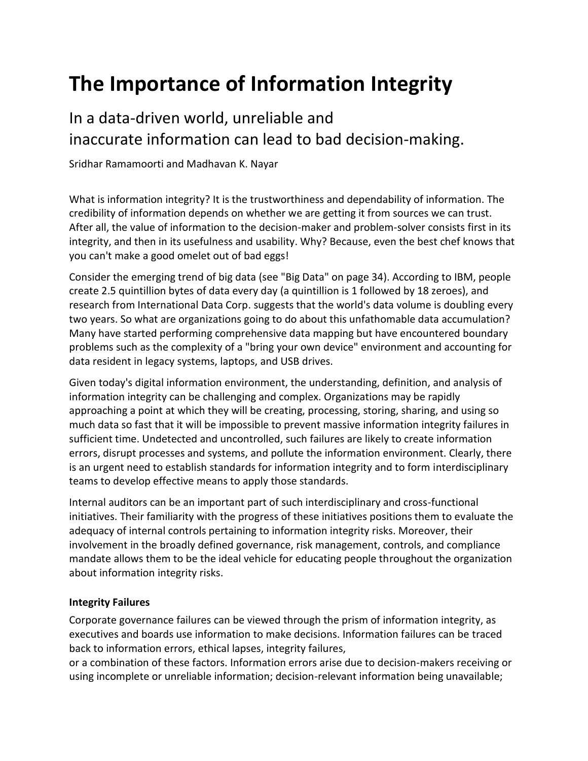# **The Importance of Information Integrity**

### In a data-driven world, unreliable and inaccurate information can lead to bad decision-making.

Sridhar Ramamoorti and Madhavan K. Nayar

What is information integrity? It is the trustworthiness and dependability of information. The credibility of information depends on whether we are getting it from sources we can trust. After all, the value of information to the decision-maker and problem-solver consists first in its integrity, and then in its usefulness and usability. Why? Because, even the best chef knows that you can't make a good omelet out of bad eggs!

Consider the emerging trend of big data (see "Big Data" on page 34). According to IBM, people create 2.5 quintillion bytes of data every day (a quintillion is 1 followed by 18 zeroes), and research from International Data Corp. suggests that the world's data volume is doubling every two years. So what are organizations going to do about this unfathomable data accumulation? Many have started performing comprehensive data mapping but have encountered boundary problems such as the complexity of a "bring your own device" environment and accounting for data resident in legacy systems, laptops, and USB drives.

Given today's digital information environment, the understanding, definition, and analysis of information integrity can be challenging and complex. Organizations may be rapidly approaching a point at which they will be creating, processing, storing, sharing, and using so much data so fast that it will be impossible to prevent massive information integrity failures in sufficient time. Undetected and uncontrolled, such failures are likely to create information errors, disrupt processes and systems, and pollute the information environment. Clearly, there is an urgent need to establish standards for information integrity and to form interdisciplinary teams to develop effective means to apply those standards.

Internal auditors can be an important part of such interdisciplinary and cross-functional initiatives. Their familiarity with the progress of these initiatives positions them to evaluate the adequacy of internal controls pertaining to information integrity risks. Moreover, their involvement in the broadly defined governance, risk management, controls, and compliance mandate allows them to be the ideal vehicle for educating people throughout the organization about information integrity risks.

### **Integrity Failures**

Corporate governance failures can be viewed through the prism of information integrity, as executives and boards use information to make decisions. Information failures can be traced back to information errors, ethical lapses, integrity failures,

or a combination of these factors. Information errors arise due to decision-makers receiving or using incomplete or unreliable information; decision-relevant information being unavailable;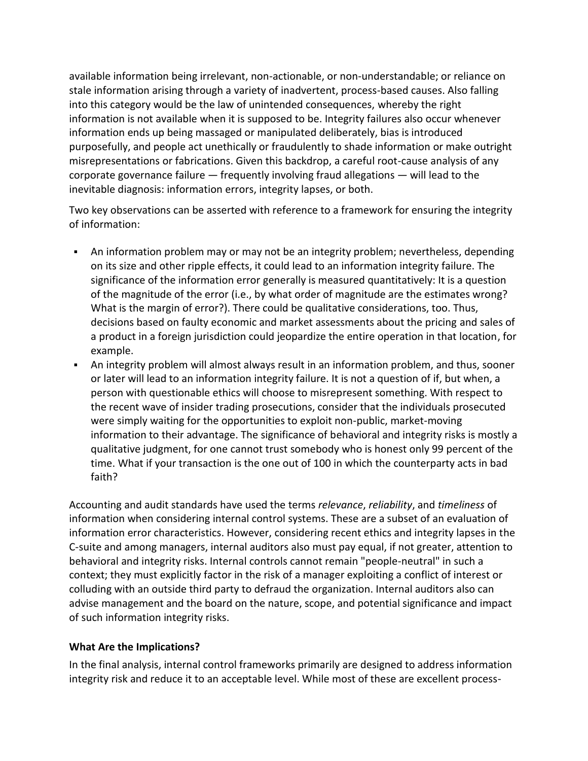available information being irrelevant, non-actionable, or non-understandable; or reliance on stale information arising through a variety of inadvertent, process-based causes. Also falling into this category would be the law of unintended consequences, whereby the right information is not available when it is supposed to be. Integrity failures also occur whenever information ends up being massaged or manipulated deliberately, bias is introduced purposefully, and people act unethically or fraudulently to shade information or make outright misrepresentations or fabrications. Given this backdrop, a careful root-cause analysis of any corporate governance failure — frequently involving fraud allegations — will lead to the inevitable diagnosis: information errors, integrity lapses, or both.

Two key observations can be asserted with reference to a framework for ensuring the integrity of information:

- An information problem may or may not be an integrity problem; nevertheless, depending on its size and other ripple effects, it could lead to an information integrity failure. The significance of the information error generally is measured quantitatively: It is a question of the magnitude of the error (i.e., by what order of magnitude are the estimates wrong? What is the margin of error?). There could be qualitative considerations, too. Thus, decisions based on faulty economic and market assessments about the pricing and sales of a product in a foreign jurisdiction could jeopardize the entire operation in that location, for example.
- An integrity problem will almost always result in an information problem, and thus, sooner or later will lead to an information integrity failure. It is not a question of if, but when, a person with questionable ethics will choose to misrepresent something. With respect to the recent wave of insider trading prosecutions, consider that the individuals prosecuted were simply waiting for the opportunities to exploit non-public, market-moving information to their advantage. The significance of behavioral and integrity risks is mostly a qualitative judgment, for one cannot trust somebody who is honest only 99 percent of the time. What if your transaction is the one out of 100 in which the counterparty acts in bad faith?

Accounting and audit standards have used the terms *relevance*, *reliability*, and *timeliness* of information when considering internal control systems. These are a subset of an evaluation of information error characteristics. However, considering recent ethics and integrity lapses in the C-suite and among managers, internal auditors also must pay equal, if not greater, attention to behavioral and integrity risks. Internal controls cannot remain "people-neutral" in such a context; they must explicitly factor in the risk of a manager exploiting a conflict of interest or colluding with an outside third party to defraud the organization. Internal auditors also can advise management and the board on the nature, scope, and potential significance and impact of such information integrity risks.

#### **What Are the Implications?**

In the final analysis, internal control frameworks primarily are designed to address information integrity risk and reduce it to an acceptable level. While most of these are excellent process-